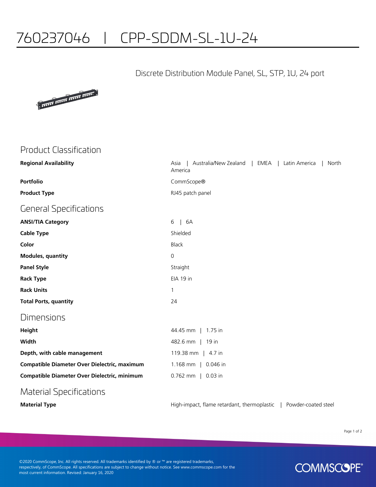# 760237046 | CPP-SDDM-SL-1U-24

#### Discrete Distribution Module Panel, SL, STP, 1U, 24 port



## Product Classification

| <b>Regional Availability</b>                 | Australia/New Zealand   EMEA  <br>Latin America<br>North<br>Asia<br>America |
|----------------------------------------------|-----------------------------------------------------------------------------|
| Portfolio                                    | CommScope®                                                                  |
| <b>Product Type</b>                          | RJ45 patch panel                                                            |
| General Specifications                       |                                                                             |
| <b>ANSI/TIA Category</b>                     | 6A<br>6<br>$\mathbf{L}$                                                     |
| Cable Type                                   | Shielded                                                                    |
| Color                                        | <b>Black</b>                                                                |
| <b>Modules, quantity</b>                     | $\overline{0}$                                                              |
| <b>Panel Style</b>                           | Straight                                                                    |
| Rack Type                                    | EIA 19 in                                                                   |
| <b>Rack Units</b>                            | 1                                                                           |
| <b>Total Ports, quantity</b>                 | 24                                                                          |
| Dimensions                                   |                                                                             |
| Height                                       | 44.45 mm   1.75 in                                                          |
| Width                                        | 482.6 mm   19 in                                                            |
| Depth, with cable management                 | 119.38 mm   4.7 in                                                          |
| Compatible Diameter Over Dielectric, maximum | 1.168 mm   0.046 in                                                         |
| Compatible Diameter Over Dielectric, minimum | 0.762 mm   0.03 in                                                          |
| Material Specifications                      |                                                                             |

**Material Type Material Type High-impact, flame retardant, thermoplastic | Powder-coated steel** 

Page 1 of 2

©2020 CommScope, Inc. All rights reserved. All trademarks identified by ® or ™ are registered trademarks, respectively, of CommScope. All specifications are subject to change without notice. See www.commscope.com for the most current information. Revised: January 16, 2020